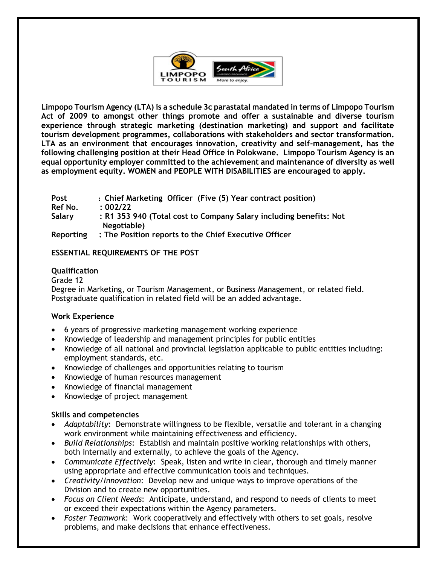

**Limpopo Tourism Agency (LTA) is a schedule 3c parastatal mandated in terms of Limpopo Tourism Act of 2009 to amongst other things promote and offer a sustainable and diverse tourism experience through strategic marketing (destination marketing) and support and facilitate tourism development programmes, collaborations with stakeholders and sector transformation. LTA as an environment that encourages innovation, creativity and self-management, has the following challenging position at their Head Office in Polokwane. Limpopo Tourism Agency is an equal opportunity employer committed to the achievement and maintenance of diversity as well as employment equity. WOMEN and PEOPLE WITH DISABILITIES are encouraged to apply.**

| Post      | : Chief Marketing Officer (Five (5) Year contract position)        |
|-----------|--------------------------------------------------------------------|
| Ref No.   | : 002/22                                                           |
| Salary    | : R1 353 940 (Total cost to Company Salary including benefits: Not |
|           | Negotiable)                                                        |
| Reporting | : The Position reports to the Chief Executive Officer              |

# **ESSENTIAL REQUIREMENTS OF THE POST**

### **Qualification**

#### Grade 12

Degree in Marketing, or Tourism Management, or Business Management, or related field. Postgraduate qualification in related field will be an added advantage.

### **Work Experience**

- 6 years of progressive marketing management working experience
- Knowledge of leadership and management principles for public entities
- Knowledge of all national and provincial legislation applicable to public entities including: employment standards, etc.
- Knowledge of challenges and opportunities relating to tourism
- Knowledge of human resources management
- Knowledge of financial management
- Knowledge of project management

#### **Skills and competencies**

- *Adaptability*: Demonstrate willingness to be flexible, versatile and tolerant in a changing work environment while maintaining effectiveness and efficiency.
- *Build Relationships*: Establish and maintain positive working relationships with others, both internally and externally, to achieve the goals of the Agency.
- *Communicate Effectively*: Speak, listen and write in clear, thorough and timely manner using appropriate and effective communication tools and techniques.
- *Creativity/Innovation*: Develop new and unique ways to improve operations of the Division and to create new opportunities.
- *Focus on Client Needs*: Anticipate, understand, and respond to needs of clients to meet or exceed their expectations within the Agency parameters.
- *Foster Teamwork*: Work cooperatively and effectively with others to set goals, resolve problems, and make decisions that enhance effectiveness.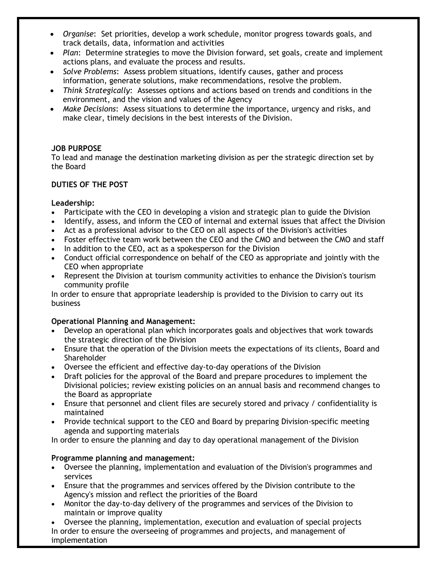- *Organise*: Set priorities, develop a work schedule, monitor progress towards goals, and track details, data, information and activities
- *Plan*: Determine strategies to move the Division forward, set goals, create and implement actions plans, and evaluate the process and results.
- *Solve Problems*: Assess problem situations, identify causes, gather and process information, generate solutions, make recommendations, resolve the problem.
- *Think Strategically*: Assesses options and actions based on trends and conditions in the environment, and the vision and values of the Agency
- *Make Decisions*: Assess situations to determine the importance, urgency and risks, and make clear, timely decisions in the best interests of the Division.

## **JOB PURPOSE**

To lead and manage the destination marketing division as per the strategic direction set by the Board

# **DUTIES OF THE POST**

### **Leadership:**

- Participate with the CEO in developing a vision and strategic plan to guide the Division
- Identify, assess, and inform the CEO of internal and external issues that affect the Division
- Act as a professional advisor to the CEO on all aspects of the Division's activities
- Foster effective team work between the CEO and the CMO and between the CMO and staff
- In addition to the CEO, act as a spokesperson for the Division
- Conduct official correspondence on behalf of the CEO as appropriate and jointly with the CEO when appropriate
- Represent the Division at tourism community activities to enhance the Division's tourism community profile

In order to ensure that appropriate leadership is provided to the Division to carry out its business

### **Operational Planning and Management:**

- Develop an operational plan which incorporates goals and objectives that work towards the strategic direction of the Division
- Ensure that the operation of the Division meets the expectations of its clients, Board and Shareholder
- Oversee the efficient and effective day-to-day operations of the Division
- Draft policies for the approval of the Board and prepare procedures to implement the Divisional policies; review existing policies on an annual basis and recommend changes to the Board as appropriate
- Ensure that personnel and client files are securely stored and privacy / confidentiality is maintained
- Provide technical support to the CEO and Board by preparing Division-specific meeting agenda and supporting materials

In order to ensure the planning and day to day operational management of the Division

### **Programme planning and management:**

- Oversee the planning, implementation and evaluation of the Division's programmes and services
- Ensure that the programmes and services offered by the Division contribute to the Agency's mission and reflect the priorities of the Board
- Monitor the day-to-day delivery of the programmes and services of the Division to maintain or improve quality

• Oversee the planning, implementation, execution and evaluation of special projects In order to ensure the overseeing of programmes and projects, and management of implementation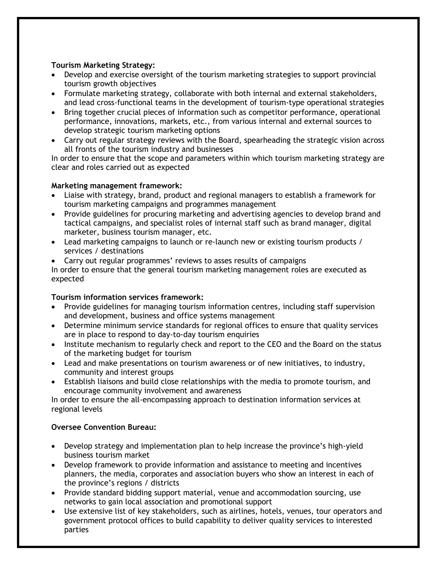## **Tourism Marketing Strategy:**

- Develop and exercise oversight of the tourism marketing strategies to support provincial tourism growth objectives
- Formulate marketing strategy, collaborate with both internal and external stakeholders, and lead cross-functional teams in the development of tourism-type operational strategies
- Bring together crucial pieces of information such as competitor performance, operational performance, innovations, markets, etc., from various internal and external sources to develop strategic tourism marketing options
- Carry out regular strategy reviews with the Board, spearheading the strategic vision across all fronts of the tourism industry and businesses

In order to ensure that the scope and parameters within which tourism marketing strategy are clear and roles carried out as expected

## **Marketing management framework:**

- Liaise with strategy, brand, product and regional managers to establish a framework for tourism marketing campaigns and programmes management
- Provide guidelines for procuring marketing and advertising agencies to develop brand and tactical campaigns, and specialist roles of internal staff such as brand manager, digital marketer, business tourism manager, etc.
- Lead marketing campaigns to launch or re-launch new or existing tourism products / services / destinations
- Carry out regular programmes' reviews to asses results of campaigns

In order to ensure that the general tourism marketing management roles are executed as expected

## **Tourism information services framework:**

- Provide guidelines for managing tourism information centres, including staff supervision and development, business and office systems management
- Determine minimum service standards for regional offices to ensure that quality services are in place to respond to day-to-day tourism enquiries
- Institute mechanism to regularly check and report to the CEO and the Board on the status of the marketing budget for tourism
- Lead and make presentations on tourism awareness or of new initiatives, to industry, community and interest groups
- Establish liaisons and build close relationships with the media to promote tourism, and encourage community involvement and awareness

In order to ensure the all-encompassing approach to destination information services at regional levels

### **Oversee Convention Bureau:**

- Develop strategy and implementation plan to help increase the province's high-yield business tourism market
- Develop framework to provide information and assistance to meeting and incentives planners, the media, corporates and association buyers who show an interest in each of the province's regions / districts
- Provide standard bidding support material, venue and accommodation sourcing, use networks to gain local association and promotional support
- Use extensive list of key stakeholders, such as airlines, hotels, venues, tour operators and government protocol offices to build capability to deliver quality services to interested parties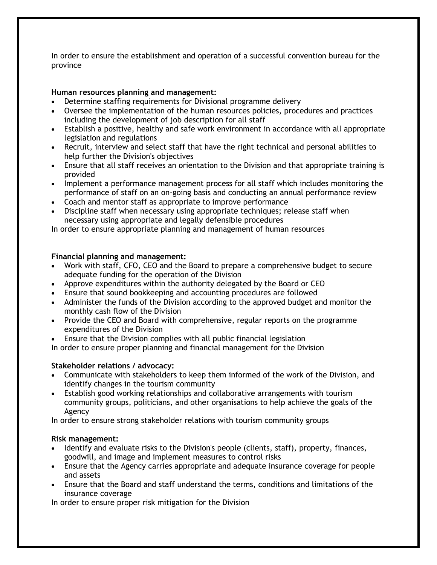In order to ensure the establishment and operation of a successful convention bureau for the province

## **Human resources planning and management:**

- Determine staffing requirements for Divisional programme delivery
- Oversee the implementation of the human resources policies, procedures and practices including the development of job description for all staff
- Establish a positive, healthy and safe work environment in accordance with all appropriate legislation and regulations
- Recruit, interview and select staff that have the right technical and personal abilities to help further the Division's objectives
- Ensure that all staff receives an orientation to the Division and that appropriate training is provided
- Implement a performance management process for all staff which includes monitoring the performance of staff on an on-going basis and conducting an annual performance review
- Coach and mentor staff as appropriate to improve performance
- Discipline staff when necessary using appropriate techniques; release staff when necessary using appropriate and legally defensible procedures

In order to ensure appropriate planning and management of human resources

### **Financial planning and management:**

- Work with staff, CFO, CEO and the Board to prepare a comprehensive budget to secure adequate funding for the operation of the Division
- Approve expenditures within the authority delegated by the Board or CEO
- Ensure that sound bookkeeping and accounting procedures are followed
- Administer the funds of the Division according to the approved budget and monitor the monthly cash flow of the Division
- Provide the CEO and Board with comprehensive, regular reports on the programme expenditures of the Division
- Ensure that the Division complies with all public financial legislation

In order to ensure proper planning and financial management for the Division

### **Stakeholder relations / advocacy:**

- Communicate with stakeholders to keep them informed of the work of the Division, and identify changes in the tourism community
- Establish good working relationships and collaborative arrangements with tourism community groups, politicians, and other organisations to help achieve the goals of the Agency

In order to ensure strong stakeholder relations with tourism community groups

### **Risk management:**

- Identify and evaluate risks to the Division's people (clients, staff), property, finances, goodwill, and image and implement measures to control risks
- Ensure that the Agency carries appropriate and adequate insurance coverage for people and assets
- Ensure that the Board and staff understand the terms, conditions and limitations of the insurance coverage

In order to ensure proper risk mitigation for the Division